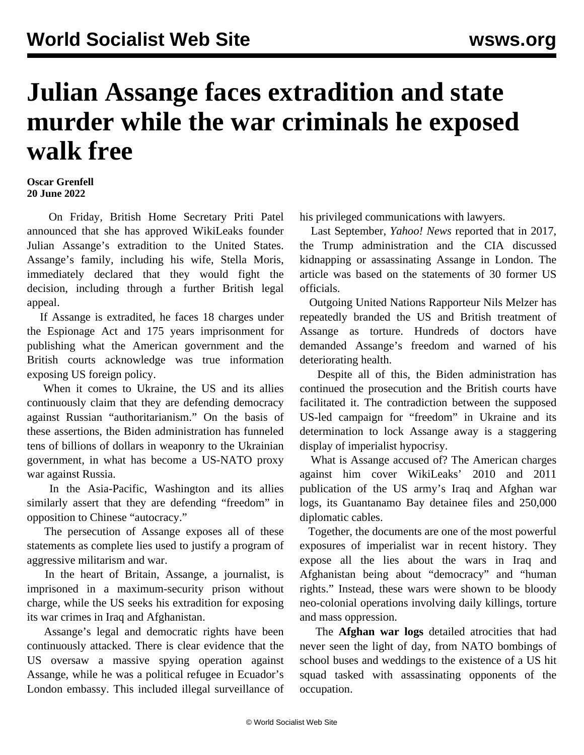## **Julian Assange faces extradition and state murder while the war criminals he exposed walk free**

## **Oscar Grenfell 20 June 2022**

 On Friday, British Home Secretary Priti Patel announced that she has approved WikiLeaks founder Julian Assange's extradition to the United States. Assange's family, including his wife, Stella Moris, immediately declared that they would fight the decision, including through a further British legal appeal.

 If Assange is extradited, he faces 18 charges under the Espionage Act and 175 years imprisonment for publishing what the American government and the British courts acknowledge was true information exposing US foreign policy.

 When it comes to Ukraine, the US and its allies continuously claim that they are defending democracy against Russian "authoritarianism." On the basis of these assertions, the Biden administration has funneled tens of billions of dollars in weaponry to the Ukrainian government, in what has become a US-NATO proxy war against Russia.

 In the Asia-Pacific, Washington and its allies similarly assert that they are defending "freedom" in opposition to Chinese "autocracy."

 The persecution of Assange exposes all of these statements as complete lies used to justify a program of aggressive militarism and war.

 In the heart of Britain, Assange, a journalist, is imprisoned in a maximum-security prison without charge, while the US seeks his extradition for exposing its war crimes in Iraq and Afghanistan.

 Assange's legal and democratic rights have been continuously attacked. There is clear evidence that the US oversaw a massive spying operation against Assange, while he was a political refugee in Ecuador's London embassy. This included illegal surveillance of

his privileged communications with lawyers.

 Last September, *Yahoo! News* reported that in 2017, the Trump administration and the CIA discussed kidnapping or assassinating Assange in London. The article was based on the statements of 30 former US officials.

 Outgoing United Nations Rapporteur Nils Melzer has repeatedly branded the US and British treatment of Assange as torture. Hundreds of doctors have demanded Assange's freedom and warned of his deteriorating health.

 Despite all of this, the Biden administration has continued the prosecution and the British courts have facilitated it. The contradiction between the supposed US-led campaign for "freedom" in Ukraine and its determination to lock Assange away is a staggering display of imperialist hypocrisy.

 What is Assange accused of? The American charges against him cover WikiLeaks' 2010 and 2011 publication of the US army's Iraq and Afghan war logs, its Guantanamo Bay detainee files and 250,000 diplomatic cables.

 Together, the documents are one of the most powerful exposures of imperialist war in recent history. They expose all the lies about the wars in Iraq and Afghanistan being about "democracy" and "human rights." Instead, these wars were shown to be bloody neo-colonial operations involving daily killings, torture and mass oppression.

 The **Afghan war logs** detailed atrocities that had never seen the light of day, from NATO bombings of school buses and weddings to the existence of a US hit squad tasked with assassinating opponents of the occupation.